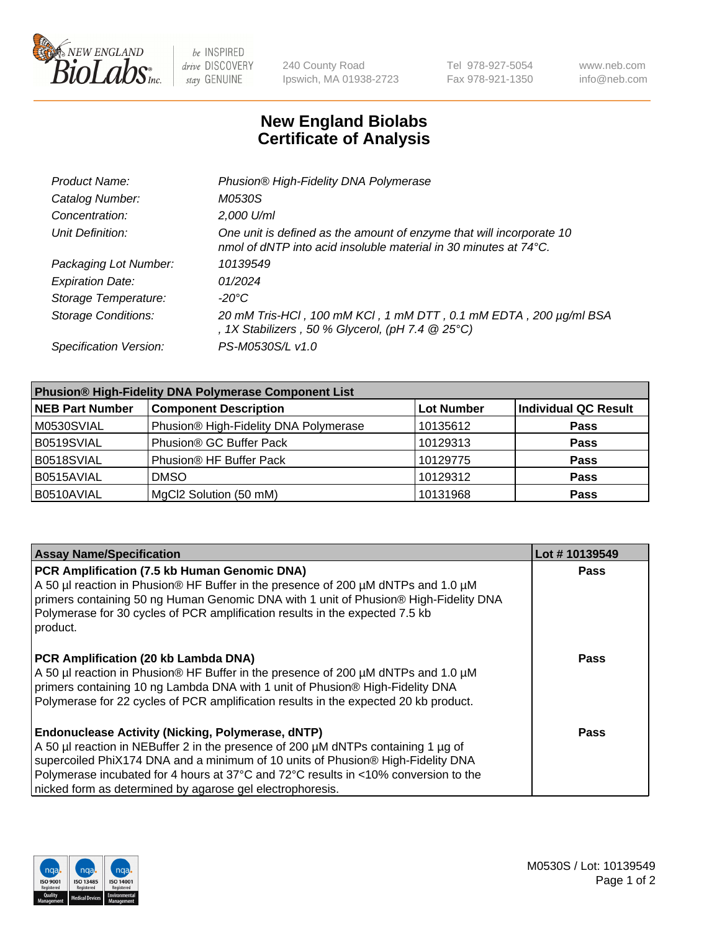

be INSPIRED drive DISCOVERY stay GENUINE

240 County Road Ipswich, MA 01938-2723 Tel 978-927-5054 Fax 978-921-1350 www.neb.com info@neb.com

## **New England Biolabs Certificate of Analysis**

| Product Name:              | Phusion® High-Fidelity DNA Polymerase                                                                                                    |
|----------------------------|------------------------------------------------------------------------------------------------------------------------------------------|
| Catalog Number:            | M0530S                                                                                                                                   |
| Concentration:             | 2,000 U/ml                                                                                                                               |
| Unit Definition:           | One unit is defined as the amount of enzyme that will incorporate 10<br>nmol of dNTP into acid insoluble material in 30 minutes at 74°C. |
| Packaging Lot Number:      | 10139549                                                                                                                                 |
| <b>Expiration Date:</b>    | 01/2024                                                                                                                                  |
| Storage Temperature:       | -20°C                                                                                                                                    |
| <b>Storage Conditions:</b> | 20 mM Tris-HCl, 100 mM KCl, 1 mM DTT, 0.1 mM EDTA, 200 µg/ml BSA<br>, 1X Stabilizers, 50 % Glycerol, (pH 7.4 $@25°C$ )                   |
| Specification Version:     | PS-M0530S/L v1.0                                                                                                                         |

| <b>Phusion® High-Fidelity DNA Polymerase Component List</b> |                                       |                   |                             |  |
|-------------------------------------------------------------|---------------------------------------|-------------------|-----------------------------|--|
| <b>NEB Part Number</b>                                      | <b>Component Description</b>          | <b>Lot Number</b> | <b>Individual QC Result</b> |  |
| M0530SVIAL                                                  | Phusion® High-Fidelity DNA Polymerase | 10135612          | <b>Pass</b>                 |  |
| B0519SVIAL                                                  | Phusion® GC Buffer Pack               | 10129313          | <b>Pass</b>                 |  |
| B0518SVIAL                                                  | Phusion® HF Buffer Pack               | 10129775          | <b>Pass</b>                 |  |
| B0515AVIAL                                                  | <b>DMSO</b>                           | 10129312          | <b>Pass</b>                 |  |
| B0510AVIAL                                                  | MgCl2 Solution (50 mM)                | 10131968          | <b>Pass</b>                 |  |

| <b>Assay Name/Specification</b>                                                                                                                                                                                                                                                                                                                                                      | Lot #10139549 |
|--------------------------------------------------------------------------------------------------------------------------------------------------------------------------------------------------------------------------------------------------------------------------------------------------------------------------------------------------------------------------------------|---------------|
| PCR Amplification (7.5 kb Human Genomic DNA)<br>A 50 µl reaction in Phusion® HF Buffer in the presence of 200 µM dNTPs and 1.0 µM<br>primers containing 50 ng Human Genomic DNA with 1 unit of Phusion® High-Fidelity DNA<br>Polymerase for 30 cycles of PCR amplification results in the expected 7.5 kb<br>product.                                                                | <b>Pass</b>   |
| PCR Amplification (20 kb Lambda DNA)<br>A 50 µl reaction in Phusion® HF Buffer in the presence of 200 µM dNTPs and 1.0 µM<br>primers containing 10 ng Lambda DNA with 1 unit of Phusion® High-Fidelity DNA<br>Polymerase for 22 cycles of PCR amplification results in the expected 20 kb product.                                                                                   | Pass          |
| <b>Endonuclease Activity (Nicking, Polymerase, dNTP)</b><br>A 50 µl reaction in NEBuffer 2 in the presence of 200 µM dNTPs containing 1 µg of<br>supercoiled PhiX174 DNA and a minimum of 10 units of Phusion® High-Fidelity DNA<br>Polymerase incubated for 4 hours at 37°C and 72°C results in <10% conversion to the<br>nicked form as determined by agarose gel electrophoresis. | Pass          |